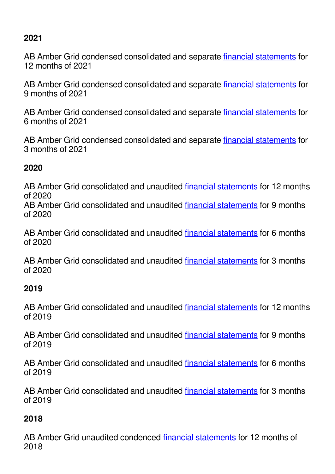# <span id="page-0-0"></span>**2021**

AB Amber Grid condensed consolidated and separate *financial statements* for 12 months of 2021

AB Amber Grid condensed consolidated and separate financial statements for 9 months of 2021

AB Amber Grid condensed consolidated and separate *financial statements* for 6 months of 2021

AB Amber Grid condensed consolidated and separate financial statements for 3 months of 2021

### **2020**

AB Amber Grid consolidated and unaudited financial statements for 12 months of 2020

AB Amber Grid consolidated and unaudited financial statements for 9 months of 2020

AB Amber Grid consolidated and unaudited financial statements for 6 months of 2020

AB Amber Grid consolidated and unaudited financial statements for 3 months of 2020

## **2019**

AB Amber Grid consolidated and unaudited financial statements for 12 months of 2019

AB Amber Grid consolidated and unaudited financial statements for 9 months of 2019

AB Amber Grid consolidated and unaudited financial statements for 6 months of 2019

AB Amber Grid consolidated and unaudited financial statements for 3 months of 2019

## **2018**

AB Amber Grid unaudited condenced financial statements for 12 months of 2018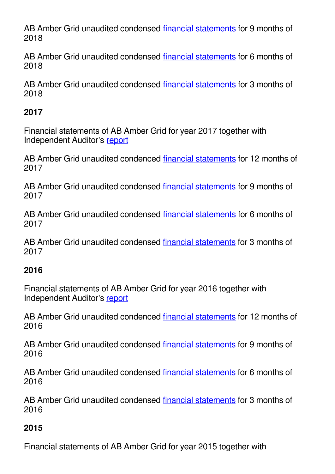AB Amber Grid unaudited condensed [financial statements](#page-0-0) for 9 months of 2018

AB Amber Grid unaudited condensed [financial statements](#page-0-0) for 6 months of 2018

AB Amber Grid unaudited condensed [financial statements](#page-0-0) for 3 months of 2018

#### **2017**

Financial statements of AB Amber Grid for year 2017 together with Independent Auditor's [report](#page-0-0)

AB Amber Grid unaudited condenced [financial statements](#page-0-0) for 12 months of 2017

AB Amber Grid unaudited condensed [financial statements](#page-0-0) for 9 months of 2017

AB Amber Grid unaudited condensed [financial statements](#page-0-0) for 6 months of 2017

AB Amber Grid unaudited condensed [financial statements](#page-0-0) for 3 months of 2017

#### **2016**

Financial statements of AB Amber Grid for year 2016 together with Independent Auditor's [report](#page-0-0)

AB Amber Grid unaudited condenced [financial statements](#page-0-0) for 12 months of 2016

AB Amber Grid unaudited condensed [financial statements](#page-0-0) for 9 months of 2016

AB Amber Grid unaudited condensed [financial statements](#page-0-0) for 6 months of 2016

AB Amber Grid unaudited condensed [financial statements](#page-0-0) for 3 months of 2016

#### **2015**

Financial statements of AB Amber Grid for year 2015 together with